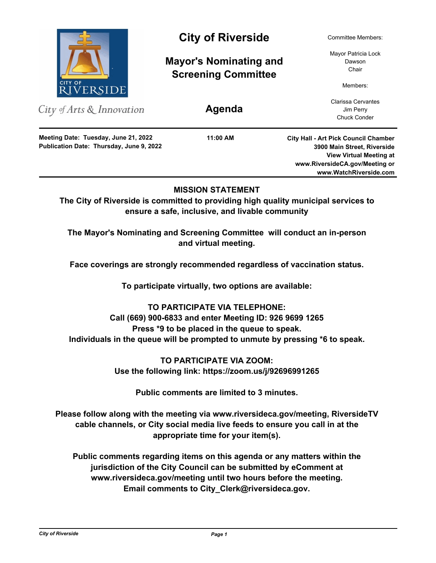

City of Arts & Innovation

**Publication Date: Thursday, June 9, 2022 Meeting Date: Tuesday, June 21, 2022**

# City of Riverside Committee Members:

**Mayor's Nominating and Screening Committee**

**Agenda**

**11:00 AM**

Mayor Patricia Lock Dawson Chair

Members:

Clarissa Cervantes Jim Perry Chuck Conder

**City Hall - Art Pick Council Chamber 3900 Main Street, Riverside View Virtual Meeting at www.RiversideCA.gov/Meeting or www.WatchRiverside.com**

# **MISSION STATEMENT**

**The City of Riverside is committed to providing high quality municipal services to ensure a safe, inclusive, and livable community**

**The Mayor's Nominating and Screening Committee will conduct an in-person and virtual meeting.** 

**Face coverings are strongly recommended regardless of vaccination status.**

**To participate virtually, two options are available:**

**TO PARTICIPATE VIA TELEPHONE: Call (669) 900-6833 and enter Meeting ID: 926 9699 1265 Press \*9 to be placed in the queue to speak. Individuals in the queue will be prompted to unmute by pressing \*6 to speak.**

> **TO PARTICIPATE VIA ZOOM: Use the following link: https://zoom.us/j/92696991265**

> > **Public comments are limited to 3 minutes.**

**Please follow along with the meeting via www.riversideca.gov/meeting, RiversideTV cable channels, or City social media live feeds to ensure you call in at the appropriate time for your item(s).**

**Public comments regarding items on this agenda or any matters within the jurisdiction of the City Council can be submitted by eComment at www.riversideca.gov/meeting until two hours before the meeting. Email comments to City\_Clerk@riversideca.gov.**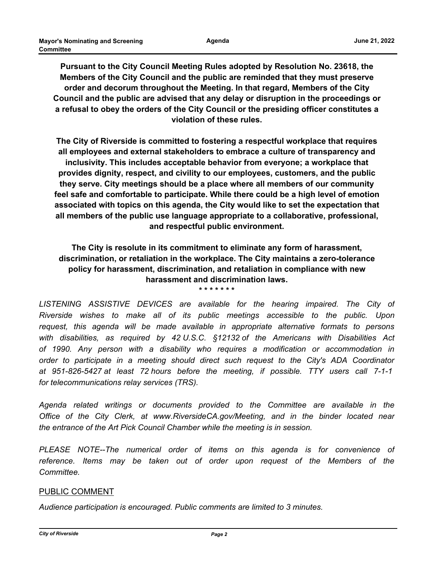**Pursuant to the City Council Meeting Rules adopted by Resolution No. 23618, the Members of the City Council and the public are reminded that they must preserve order and decorum throughout the Meeting. In that regard, Members of the City Council and the public are advised that any delay or disruption in the proceedings or a refusal to obey the orders of the City Council or the presiding officer constitutes a violation of these rules.**

**The City of Riverside is committed to fostering a respectful workplace that requires all employees and external stakeholders to embrace a culture of transparency and inclusivity. This includes acceptable behavior from everyone; a workplace that provides dignity, respect, and civility to our employees, customers, and the public they serve. City meetings should be a place where all members of our community feel safe and comfortable to participate. While there could be a high level of emotion associated with topics on this agenda, the City would like to set the expectation that all members of the public use language appropriate to a collaborative, professional, and respectful public environment.**

**The City is resolute in its commitment to eliminate any form of harassment, discrimination, or retaliation in the workplace. The City maintains a zero-tolerance policy for harassment, discrimination, and retaliation in compliance with new harassment and discrimination laws. \* \* \* \* \* \* \***

LISTENING ASSISTIVE DEVICES are available for the hearing impaired. The City of *Riverside wishes to make all of its public meetings accessible to the public. Upon request, this agenda will be made available in appropriate alternative formats to persons with disabilities, as required by 42 U.S.C. §12132 of the Americans with Disabilities Act of 1990. Any person with a disability who requires a modification or accommodation in order to participate in a meeting should direct such request to the City's ADA Coordinator at 951-826-5427 at least 72 hours before the meeting, if possible. TTY users call 7-1-1 for telecommunications relay services (TRS).*

*Agenda related writings or documents provided to the Committee are available in the Office of the City Clerk, at www.RiversideCA.gov/Meeting, and in the binder located near the entrance of the Art Pick Council Chamber while the meeting is in session.*

*PLEASE NOTE--The numerical order of items on this agenda is for convenience of reference. Items may be taken out of order upon request of the Members of the Committee.*

## PUBLIC COMMENT

*Audience participation is encouraged. Public comments are limited to 3 minutes.*